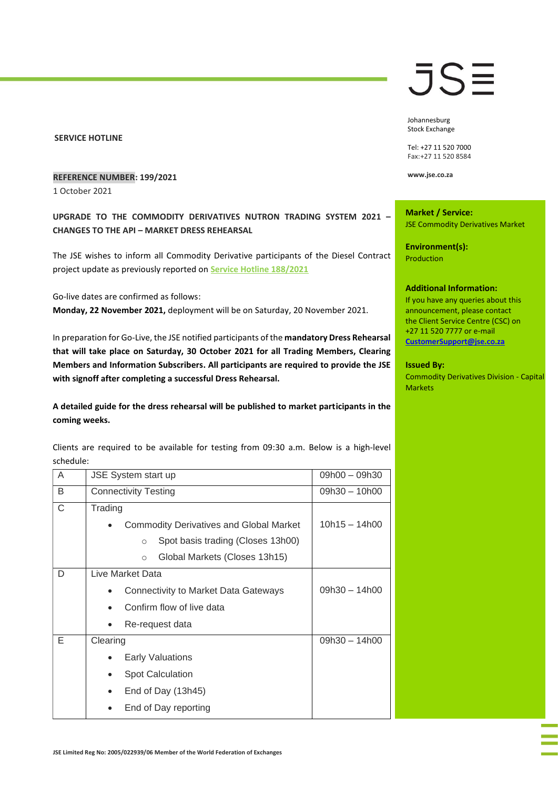## **SERVICE HOTLINE**

# **REFERENCE NUMBER: 199/2021**

1 October 2021

**UPGRADE TO THE COMMODITY DERIVATIVES NUTRON TRADING SYSTEM 2021 – CHANGES TO THE API – MARKET DRESS REHEARSAL**

The JSE wishes to inform all Commodity Derivative participants of the Diesel Contract project update as previously reported on **[Service Hotline 188/2021](https://clientportal.jse.co.za/Content/JSEHotlinesItems/JSE%20Service%20Hotline%2018821%20CDM%20-%20Diesel%20Contract%20Project%20Update%20Dress%20Rehearsal%20Reminder%20-%2030%20October%202021.pdf)**

Go-live dates are confirmed as follows:

**Monday, 22 November 2021,** deployment will be on Saturday, 20 November 2021.

In preparation for Go-Live, the JSE notified participants of the **mandatory Dress Rehearsal that will take place on Saturday, 30 October 2021 for all Trading Members, Clearing Members and Information Subscribers. All participants are required to provide the JSE with signoff after completing a successful Dress Rehearsal.** 

**A detailed guide for the dress rehearsal will be published to market participants in the coming weeks.** 

Clients are required to be available for testing from 09:30 a.m. Below is a high-level schedule:

| A | <b>JSE System start up</b>                   | $09h00 - 09h30$ |
|---|----------------------------------------------|-----------------|
| B | <b>Connectivity Testing</b>                  | $09h30 - 10h00$ |
| C | Trading                                      |                 |
|   | Commodity Derivatives and Global Market      | $10h15 - 14h00$ |
|   | Spot basis trading (Closes 13h00)<br>$\circ$ |                 |
|   | Global Markets (Closes 13h15)<br>$\circ$     |                 |
| D | Live Market Data                             |                 |
|   | Connectivity to Market Data Gateways         | $09h30 - 14h00$ |
|   | Confirm flow of live data                    |                 |
|   | Re-request data                              |                 |
| Е | Clearing                                     | $09h30 - 14h00$ |
|   | <b>Early Valuations</b>                      |                 |
|   | <b>Spot Calculation</b>                      |                 |
|   | End of Day (13h45)                           |                 |
|   | End of Day reporting                         |                 |

# JS≣

Johannesburg Stock Exchange

Tel: +27 11 520 7000 Fax:+27 11 520 8584

**www.jse.co.za**

**Market / Service:** JSE Commodity Derivatives Market

**Environment(s):** Production

## **Additional Information:**

If you have any queries about this announcement, please contact the Client Service Centre (CSC) on +27 11 520 7777 or e-mail **[CustomerSupport@jse.co.za](mailto:CustomerSupport@jse.co.za)**

## **Issued By:**

Commodity Derivatives Division - Capital Markets